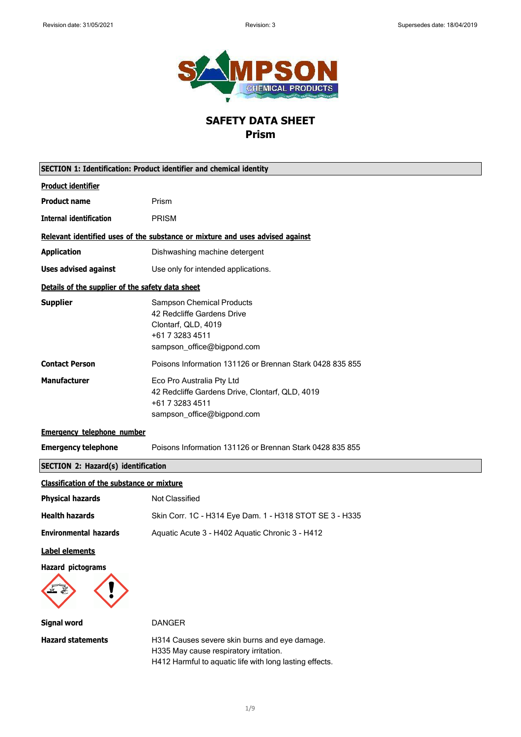

# **SAFETY DATA SHEET Prism**

| SECTION 1: Identification: Product identifier and chemical identity |                                                                                                                                                    |
|---------------------------------------------------------------------|----------------------------------------------------------------------------------------------------------------------------------------------------|
| <b>Product identifier</b>                                           |                                                                                                                                                    |
| <b>Product name</b>                                                 | Prism                                                                                                                                              |
| <b>Internal identification</b>                                      | <b>PRISM</b>                                                                                                                                       |
|                                                                     | Relevant identified uses of the substance or mixture and uses advised against                                                                      |
| <b>Application</b>                                                  | Dishwashing machine detergent                                                                                                                      |
| <b>Uses advised against</b>                                         | Use only for intended applications.                                                                                                                |
| Details of the supplier of the safety data sheet                    |                                                                                                                                                    |
| <b>Supplier</b>                                                     | <b>Sampson Chemical Products</b><br>42 Redcliffe Gardens Drive<br>Clontarf, QLD, 4019<br>+61 7 3283 4511<br>sampson_office@bigpond.com             |
| <b>Contact Person</b>                                               | Poisons Information 131126 or Brennan Stark 0428 835 855                                                                                           |
| <b>Manufacturer</b>                                                 | Eco Pro Australia Pty Ltd<br>42 Redcliffe Gardens Drive, Clontarf, QLD, 4019<br>+61 7 3283 4511<br>sampson_office@bigpond.com                      |
| <b>Emergency telephone number</b>                                   |                                                                                                                                                    |
| <b>Emergency telephone</b>                                          | Poisons Information 131126 or Brennan Stark 0428 835 855                                                                                           |
| <b>SECTION 2: Hazard(s) identification</b>                          |                                                                                                                                                    |
| <b>Classification of the substance or mixture</b>                   |                                                                                                                                                    |
| <b>Physical hazards</b>                                             | Not Classified                                                                                                                                     |
| <b>Health hazards</b>                                               | Skin Corr. 1C - H314 Eye Dam. 1 - H318 STOT SE 3 - H335                                                                                            |
| <b>Environmental hazards</b>                                        | Aquatic Acute 3 - H402 Aquatic Chronic 3 - H412                                                                                                    |
| Label elements                                                      |                                                                                                                                                    |
| <b>Hazard pictograms</b>                                            |                                                                                                                                                    |
| <b>Signal word</b>                                                  | <b>DANGER</b>                                                                                                                                      |
| <b>Hazard statements</b>                                            | H314 Causes severe skin burns and eye damage.<br>H335 May cause respiratory irritation.<br>H412 Harmful to aquatic life with long lasting effects. |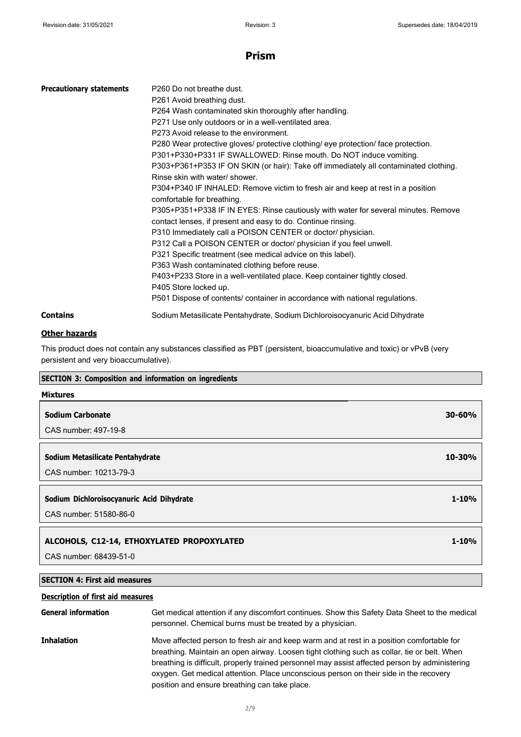| <b>Precautionary statements</b> | P <sub>260</sub> Do not breathe dust.                                                |
|---------------------------------|--------------------------------------------------------------------------------------|
|                                 | P261 Avoid breathing dust.                                                           |
|                                 | P264 Wash contaminated skin thoroughly after handling.                               |
|                                 | P271 Use only outdoors or in a well-ventilated area.                                 |
|                                 | P273 Avoid release to the environment.                                               |
|                                 | P280 Wear protective gloves/ protective clothing/ eye protection/ face protection.   |
|                                 | P301+P330+P331 IF SWALLOWED: Rinse mouth. Do NOT induce vomiting.                    |
|                                 | P303+P361+P353 IF ON SKIN (or hair): Take off immediately all contaminated clothing. |
|                                 | Rinse skin with water/ shower.                                                       |
|                                 | P304+P340 IF INHALED: Remove victim to fresh air and keep at rest in a position      |
|                                 | comfortable for breathing.                                                           |
|                                 | P305+P351+P338 IF IN EYES: Rinse cautiously with water for several minutes. Remove   |
|                                 | contact lenses, if present and easy to do. Continue rinsing.                         |
|                                 | P310 Immediately call a POISON CENTER or doctor/ physician.                          |
|                                 | P312 Call a POISON CENTER or doctor/ physician if you feel unwell.                   |
|                                 | P321 Specific treatment (see medical advice on this label).                          |
|                                 | P363 Wash contaminated clothing before reuse.                                        |
|                                 | P403+P233 Store in a well-ventilated place. Keep container tightly closed.           |
|                                 | P405 Store locked up.                                                                |
|                                 | P501 Dispose of contents/ container in accordance with national regulations.         |
| <b>Contains</b>                 | Sodium Metasilicate Pentahydrate, Sodium Dichloroisocyanuric Acid Dihydrate          |

#### **Other hazards**

This product does not contain any substances classified as PBT (persistent, bioaccumulative and toxic) or vPvB (very persistent and very bioaccumulative).

### **SECTION 3: Composition and information on ingredients**

| <b>Mixtures</b>                                                     |            |
|---------------------------------------------------------------------|------------|
| <b>Sodium Carbonate</b>                                             | $30 - 60%$ |
| CAS number: 497-19-8                                                |            |
| Sodium Metasilicate Pentahydrate                                    | 10-30%     |
| CAS number: 10213-79-3                                              |            |
| Sodium Dichloroisocyanuric Acid Dihydrate<br>CAS number: 51580-86-0 | $1 - 10%$  |
| ALCOHOLS, C12-14, ETHOXYLATED PROPOXYLATED                          | $1 - 10%$  |

CAS number: 68439-51-0

### **SECTION 4: First aid measures**

#### **Description of first aid measures**

| <b>General information</b> | Get medical attention if any discomfort continues. Show this Safety Data Sheet to the medical<br>personnel. Chemical burns must be treated by a physician.                                                                                                                                                                                                                                                                           |
|----------------------------|--------------------------------------------------------------------------------------------------------------------------------------------------------------------------------------------------------------------------------------------------------------------------------------------------------------------------------------------------------------------------------------------------------------------------------------|
| <b>Inhalation</b>          | Move affected person to fresh air and keep warm and at rest in a position comfortable for<br>breathing. Maintain an open airway. Loosen tight clothing such as collar, tie or belt. When<br>breathing is difficult, properly trained personnel may assist affected person by administering<br>oxygen. Get medical attention. Place unconscious person on their side in the recovery<br>position and ensure breathing can take place. |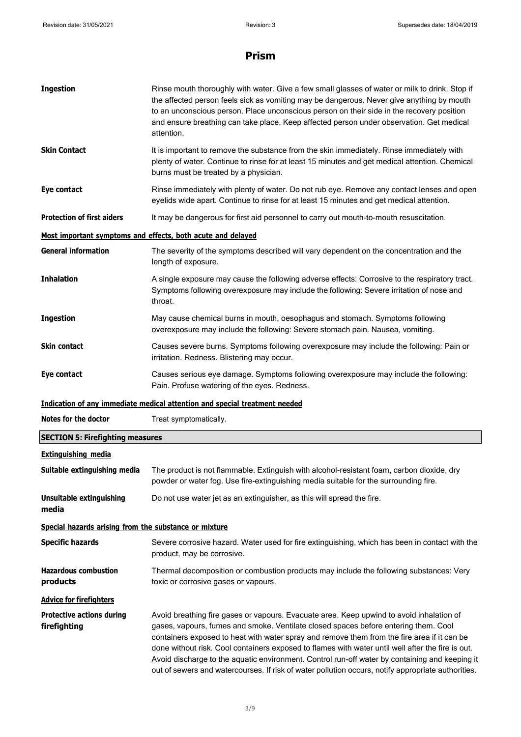| <b>Ingestion</b>                                            | Rinse mouth thoroughly with water. Give a few small glasses of water or milk to drink. Stop if<br>the affected person feels sick as vomiting may be dangerous. Never give anything by mouth<br>to an unconscious person. Place unconscious person on their side in the recovery position<br>and ensure breathing can take place. Keep affected person under observation. Get medical<br>attention. |
|-------------------------------------------------------------|----------------------------------------------------------------------------------------------------------------------------------------------------------------------------------------------------------------------------------------------------------------------------------------------------------------------------------------------------------------------------------------------------|
| <b>Skin Contact</b>                                         | It is important to remove the substance from the skin immediately. Rinse immediately with<br>plenty of water. Continue to rinse for at least 15 minutes and get medical attention. Chemical<br>burns must be treated by a physician.                                                                                                                                                               |
| Eye contact                                                 | Rinse immediately with plenty of water. Do not rub eye. Remove any contact lenses and open<br>eyelids wide apart. Continue to rinse for at least 15 minutes and get medical attention.                                                                                                                                                                                                             |
| <b>Protection of first aiders</b>                           | It may be dangerous for first aid personnel to carry out mouth-to-mouth resuscitation.                                                                                                                                                                                                                                                                                                             |
| Most important symptoms and effects, both acute and delayed |                                                                                                                                                                                                                                                                                                                                                                                                    |
| <b>General information</b>                                  | The severity of the symptoms described will vary dependent on the concentration and the<br>length of exposure.                                                                                                                                                                                                                                                                                     |
| <b>Inhalation</b>                                           | A single exposure may cause the following adverse effects: Corrosive to the respiratory tract.<br>Symptoms following overexposure may include the following: Severe irritation of nose and<br>throat.                                                                                                                                                                                              |
| <b>Ingestion</b>                                            | May cause chemical burns in mouth, oesophagus and stomach. Symptoms following<br>overexposure may include the following: Severe stomach pain. Nausea, vomiting.                                                                                                                                                                                                                                    |
| <b>Skin contact</b>                                         | Causes severe burns. Symptoms following overexposure may include the following: Pain or<br>irritation. Redness. Blistering may occur.                                                                                                                                                                                                                                                              |
| Eye contact                                                 | Causes serious eye damage. Symptoms following overexposure may include the following:                                                                                                                                                                                                                                                                                                              |
|                                                             | Pain. Profuse watering of the eyes. Redness.                                                                                                                                                                                                                                                                                                                                                       |
|                                                             | Indication of any immediate medical attention and special treatment needed                                                                                                                                                                                                                                                                                                                         |
| Notes for the doctor                                        | Treat symptomatically.                                                                                                                                                                                                                                                                                                                                                                             |
| <b>SECTION 5: Firefighting measures</b>                     |                                                                                                                                                                                                                                                                                                                                                                                                    |
| <b>Extinguishing media</b>                                  |                                                                                                                                                                                                                                                                                                                                                                                                    |
| Suitable extinguishing media                                | The product is not flammable. Extinguish with alcohol-resistant foam, carbon dioxide, dry<br>powder or water fog. Use fire-extinguishing media suitable for the surrounding fire.                                                                                                                                                                                                                  |
| <b>Unsuitable extinguishing</b><br>media                    | Do not use water jet as an extinguisher, as this will spread the fire.                                                                                                                                                                                                                                                                                                                             |
| Special hazards arising from the substance or mixture       |                                                                                                                                                                                                                                                                                                                                                                                                    |
| <b>Specific hazards</b>                                     | Severe corrosive hazard. Water used for fire extinguishing, which has been in contact with the<br>product, may be corrosive.                                                                                                                                                                                                                                                                       |
| <b>Hazardous combustion</b><br>products                     | Thermal decomposition or combustion products may include the following substances: Very<br>toxic or corrosive gases or vapours.                                                                                                                                                                                                                                                                    |
| <b>Advice for firefighters</b>                              |                                                                                                                                                                                                                                                                                                                                                                                                    |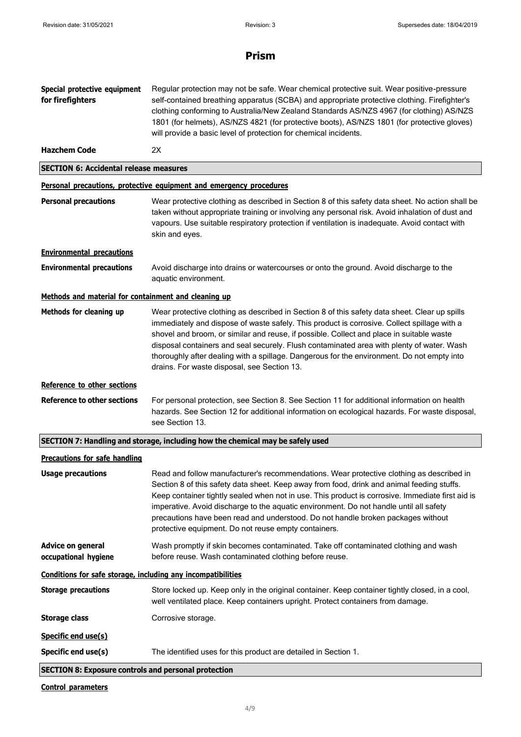| Special protective equipment<br>for firefighters             | Regular protection may not be safe. Wear chemical protective suit. Wear positive-pressure<br>self-contained breathing apparatus (SCBA) and appropriate protective clothing. Firefighter's<br>clothing conforming to Australia/New Zealand Standards AS/NZS 4967 (for clothing) AS/NZS<br>1801 (for helmets), AS/NZS 4821 (for protective boots), AS/NZS 1801 (for protective gloves)<br>will provide a basic level of protection for chemical incidents.                                                                           |  |
|--------------------------------------------------------------|------------------------------------------------------------------------------------------------------------------------------------------------------------------------------------------------------------------------------------------------------------------------------------------------------------------------------------------------------------------------------------------------------------------------------------------------------------------------------------------------------------------------------------|--|
| <b>Hazchem Code</b>                                          | 2X                                                                                                                                                                                                                                                                                                                                                                                                                                                                                                                                 |  |
| <b>SECTION 6: Accidental release measures</b>                |                                                                                                                                                                                                                                                                                                                                                                                                                                                                                                                                    |  |
|                                                              | Personal precautions, protective equipment and emergency procedures                                                                                                                                                                                                                                                                                                                                                                                                                                                                |  |
| <b>Personal precautions</b>                                  | Wear protective clothing as described in Section 8 of this safety data sheet. No action shall be<br>taken without appropriate training or involving any personal risk. Avoid inhalation of dust and<br>vapours. Use suitable respiratory protection if ventilation is inadequate. Avoid contact with<br>skin and eyes.                                                                                                                                                                                                             |  |
| <b>Environmental precautions</b>                             |                                                                                                                                                                                                                                                                                                                                                                                                                                                                                                                                    |  |
| <b>Environmental precautions</b>                             | Avoid discharge into drains or watercourses or onto the ground. Avoid discharge to the<br>aquatic environment.                                                                                                                                                                                                                                                                                                                                                                                                                     |  |
| Methods and material for containment and cleaning up         |                                                                                                                                                                                                                                                                                                                                                                                                                                                                                                                                    |  |
| Methods for cleaning up                                      | Wear protective clothing as described in Section 8 of this safety data sheet. Clear up spills<br>immediately and dispose of waste safely. This product is corrosive. Collect spillage with a<br>shovel and broom, or similar and reuse, if possible. Collect and place in suitable waste<br>disposal containers and seal securely. Flush contaminated area with plenty of water. Wash<br>thoroughly after dealing with a spillage. Dangerous for the environment. Do not empty into<br>drains. For waste disposal, see Section 13. |  |
| Reference to other sections                                  |                                                                                                                                                                                                                                                                                                                                                                                                                                                                                                                                    |  |
| Reference to other sections                                  | For personal protection, see Section 8. See Section 11 for additional information on health<br>hazards. See Section 12 for additional information on ecological hazards. For waste disposal,<br>see Section 13.                                                                                                                                                                                                                                                                                                                    |  |
|                                                              | SECTION 7: Handling and storage, including how the chemical may be safely used                                                                                                                                                                                                                                                                                                                                                                                                                                                     |  |
| <b>Precautions for safe handling</b>                         |                                                                                                                                                                                                                                                                                                                                                                                                                                                                                                                                    |  |
| <b>Usage precautions</b>                                     | Read and follow manufacturer's recommendations. Wear protective clothing as described in<br>Section 8 of this safety data sheet. Keep away from food, drink and animal feeding stuffs.<br>Keep container tightly sealed when not in use. This product is corrosive. Immediate first aid is<br>imperative. Avoid discharge to the aquatic environment. Do not handle until all safety<br>precautions have been read and understood. Do not handle broken packages without<br>protective equipment. Do not reuse empty containers.   |  |
| Advice on general<br>occupational hygiene                    | Wash promptly if skin becomes contaminated. Take off contaminated clothing and wash<br>before reuse. Wash contaminated clothing before reuse.                                                                                                                                                                                                                                                                                                                                                                                      |  |
| Conditions for safe storage, including any incompatibilities |                                                                                                                                                                                                                                                                                                                                                                                                                                                                                                                                    |  |
| <b>Storage precautions</b>                                   | Store locked up. Keep only in the original container. Keep container tightly closed, in a cool,<br>well ventilated place. Keep containers upright. Protect containers from damage.                                                                                                                                                                                                                                                                                                                                                 |  |
| <b>Storage class</b>                                         | Corrosive storage.                                                                                                                                                                                                                                                                                                                                                                                                                                                                                                                 |  |
| Specific end use(s)                                          |                                                                                                                                                                                                                                                                                                                                                                                                                                                                                                                                    |  |
| Specific end use(s)                                          | The identified uses for this product are detailed in Section 1.                                                                                                                                                                                                                                                                                                                                                                                                                                                                    |  |
| <b>SECTION 8: Exposure controls and personal protection</b>  |                                                                                                                                                                                                                                                                                                                                                                                                                                                                                                                                    |  |
| <b>Control parameters</b>                                    |                                                                                                                                                                                                                                                                                                                                                                                                                                                                                                                                    |  |

4/9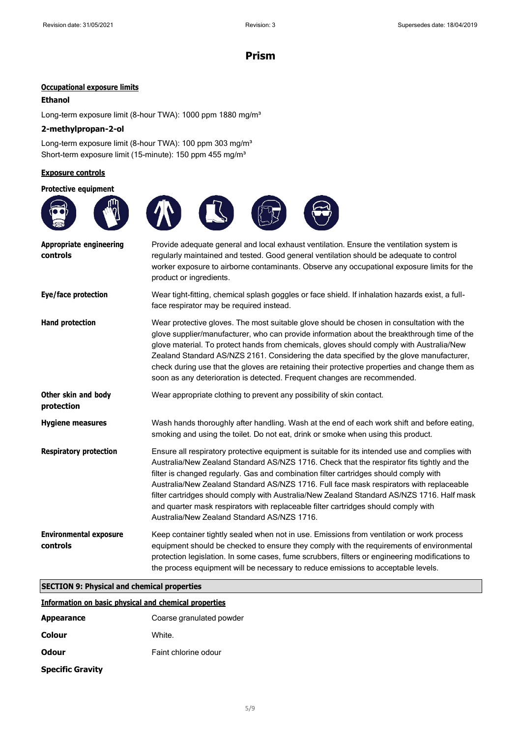#### **Occupational exposure limits**

#### **Ethanol**

Long-term exposure limit (8-hour TWA): 1000 ppm 1880 mg/m<sup>3</sup>

#### **2-methylpropan-2-ol**

Long-term exposure limit (8-hour TWA): 100 ppm 303 mg/m<sup>3</sup> Short-term exposure limit (15-minute): 150 ppm 455 mg/m<sup>3</sup>

#### **Exposure controls**

**protection**

| <b>Protective equipment</b>                | <b>TO ON CS</b><br>$\sqrt{N}$                                                                                                                                                                                                                                                                                |
|--------------------------------------------|--------------------------------------------------------------------------------------------------------------------------------------------------------------------------------------------------------------------------------------------------------------------------------------------------------------|
| <b>Appropriate engineering</b><br>controls | Provide adequate general and local exhaust ventilation. Ensure the ventilation system is<br>regularly maintained and tested. Good general ventilation should be adequate to control<br>worker exposure to airborne contaminants. Observe any occupational exposure limits for the<br>product or ingredients. |
| Eye/face protection                        | Wear tight-fitting, chemical splash goggles or face shield. If inhalation hazards exist, a full-<br>face respirator may be required instead.                                                                                                                                                                 |
| <b>Hand protection</b>                     | Wear protective gloves. The most suitable glove should be chosen in consultation with the<br>glove supplier/manufacturer, who can provide information about the breakthrough time of the                                                                                                                     |

*<u><b>A* extens on protection</u> the chosen in consultation with the about the breakthrough time of the glove material. To protect hands from chemicals, gloves should comply with Australia/New Zealand Standard AS/NZS 2161. Considering the data specified by the glove manufacturer, check during use that the gloves are retaining their protective properties and change them as soon as any deterioration is detected. Frequent changes are recommended.

**Other skin and body** Wear appropriate clothing to prevent any possibility of skin contact.

**Hygiene measures** Wash hands thoroughly after handling. Wash at the end of each work shift and before eating, smoking and using the toilet. Do not eat, drink or smoke when using this product.

**Respiratory protection** Ensure all respiratory protective equipment is suitable for its intended use and complies with Australia/New Zealand Standard AS/NZS 1716. Check that the respirator fits tightly and the filter is changed regularly. Gas and combination filter cartridges should comply with Australia/New Zealand Standard AS/NZS 1716. Full face mask respirators with replaceable filter cartridges should comply with Australia/New Zealand Standard AS/NZS 1716. Half mask and quarter mask respirators with replaceable filter cartridges should comply with Australia/New Zealand Standard AS/NZS 1716.

**Environmental exposure controls** Keep container tightly sealed when not in use. Emissions from ventilation or work process equipment should be checked to ensure they comply with the requirements of environmental protection legislation. In some cases, fume scrubbers, filters or engineering modifications to the process equipment will be necessary to reduce emissions to acceptable levels.

#### **SECTION 9: Physical and chemical properties**

#### **Information on basic physical and chemical properties**

| <b>Appearance</b>       | Coarse granulated powder |
|-------------------------|--------------------------|
| Colour                  | White.                   |
| <b>Odour</b>            | Faint chlorine odour     |
| <b>Specific Gravity</b> |                          |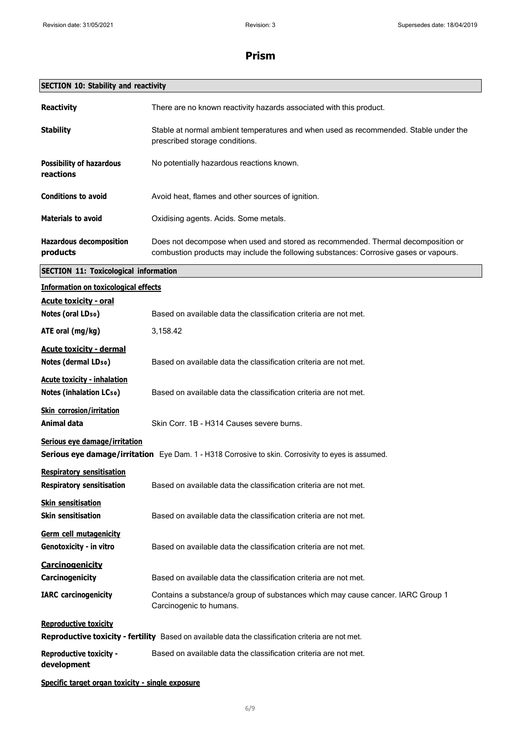| <b>SECTION 10: Stability and reactivity</b>                          |                                                                                                                                                                           |  |
|----------------------------------------------------------------------|---------------------------------------------------------------------------------------------------------------------------------------------------------------------------|--|
| <b>Reactivity</b>                                                    | There are no known reactivity hazards associated with this product.                                                                                                       |  |
| <b>Stability</b>                                                     | Stable at normal ambient temperatures and when used as recommended. Stable under the<br>prescribed storage conditions.                                                    |  |
| <b>Possibility of hazardous</b><br>reactions                         | No potentially hazardous reactions known.                                                                                                                                 |  |
| <b>Conditions to avoid</b>                                           | Avoid heat, flames and other sources of ignition.                                                                                                                         |  |
| <b>Materials to avoid</b>                                            | Oxidising agents. Acids. Some metals.                                                                                                                                     |  |
| <b>Hazardous decomposition</b><br>products                           | Does not decompose when used and stored as recommended. Thermal decomposition or<br>combustion products may include the following substances: Corrosive gases or vapours. |  |
| <b>SECTION 11: Toxicological information</b>                         |                                                                                                                                                                           |  |
| <b>Information on toxicological effects</b>                          |                                                                                                                                                                           |  |
| <b>Acute toxicity - oral</b><br>Notes (oral LD <sub>50</sub> )       | Based on available data the classification criteria are not met.                                                                                                          |  |
| ATE oral (mg/kg)                                                     | 3,158.42                                                                                                                                                                  |  |
| <b>Acute toxicity - dermal</b><br>Notes (dermal LD <sub>50</sub> )   | Based on available data the classification criteria are not met.                                                                                                          |  |
| <b>Acute toxicity - inhalation</b><br><b>Notes (inhalation LCso)</b> | Based on available data the classification criteria are not met.                                                                                                          |  |
| <b>Skin corrosion/irritation</b><br>Animal data                      | Skin Corr. 1B - H314 Causes severe burns.                                                                                                                                 |  |
| Serious eye damage/irritation                                        | Serious eye damage/irritation Eye Dam. 1 - H318 Corrosive to skin. Corrosivity to eyes is assumed.                                                                        |  |
| <b>Respiratory sensitisation</b><br><b>Respiratory sensitisation</b> | Based on available data the classification criteria are not met.                                                                                                          |  |
| <b>Skin sensitisation</b><br><b>Skin sensitisation</b>               | Based on available data the classification criteria are not met.                                                                                                          |  |
| Germ cell mutagenicity<br>Genotoxicity - in vitro                    | Based on available data the classification criteria are not met.                                                                                                          |  |
| <b>Carcinogenicity</b><br>Carcinogenicity                            | Based on available data the classification criteria are not met.                                                                                                          |  |
| <b>IARC</b> carcinogenicity                                          | Contains a substance/a group of substances which may cause cancer. IARC Group 1<br>Carcinogenic to humans.                                                                |  |
| <b>Reproductive toxicity</b>                                         | Reproductive toxicity - fertility Based on available data the classification criteria are not met.                                                                        |  |
| <b>Reproductive toxicity -</b><br>development                        | Based on available data the classification criteria are not met.                                                                                                          |  |
| Specific target organ toxicity - single exposure                     |                                                                                                                                                                           |  |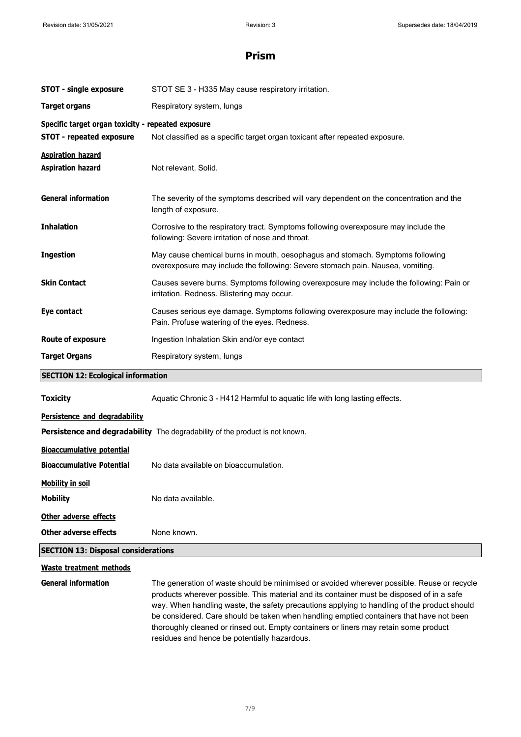| <b>STOT - single exposure</b>                                        | STOT SE 3 - H335 May cause respiratory irritation.                                                                                                                                                                                                                                                                                                                                                                                                                        |  |
|----------------------------------------------------------------------|---------------------------------------------------------------------------------------------------------------------------------------------------------------------------------------------------------------------------------------------------------------------------------------------------------------------------------------------------------------------------------------------------------------------------------------------------------------------------|--|
| <b>Target organs</b>                                                 | Respiratory system, lungs                                                                                                                                                                                                                                                                                                                                                                                                                                                 |  |
| Specific target organ toxicity - repeated exposure                   |                                                                                                                                                                                                                                                                                                                                                                                                                                                                           |  |
| <b>STOT - repeated exposure</b>                                      | Not classified as a specific target organ toxicant after repeated exposure.                                                                                                                                                                                                                                                                                                                                                                                               |  |
| <b>Aspiration hazard</b><br><b>Aspiration hazard</b>                 | Not relevant. Solid.                                                                                                                                                                                                                                                                                                                                                                                                                                                      |  |
| <b>General information</b>                                           | The severity of the symptoms described will vary dependent on the concentration and the<br>length of exposure.                                                                                                                                                                                                                                                                                                                                                            |  |
| <b>Inhalation</b>                                                    | Corrosive to the respiratory tract. Symptoms following overexposure may include the<br>following: Severe irritation of nose and throat.                                                                                                                                                                                                                                                                                                                                   |  |
| <b>Ingestion</b>                                                     | May cause chemical burns in mouth, oesophagus and stomach. Symptoms following<br>overexposure may include the following: Severe stomach pain. Nausea, vomiting.                                                                                                                                                                                                                                                                                                           |  |
| <b>Skin Contact</b>                                                  | Causes severe burns. Symptoms following overexposure may include the following: Pain or<br>irritation. Redness. Blistering may occur.                                                                                                                                                                                                                                                                                                                                     |  |
| Eye contact                                                          | Causes serious eye damage. Symptoms following overexposure may include the following:<br>Pain. Profuse watering of the eyes. Redness.                                                                                                                                                                                                                                                                                                                                     |  |
| <b>Route of exposure</b>                                             | Ingestion Inhalation Skin and/or eye contact                                                                                                                                                                                                                                                                                                                                                                                                                              |  |
| <b>Target Organs</b>                                                 | Respiratory system, lungs                                                                                                                                                                                                                                                                                                                                                                                                                                                 |  |
| <b>SECTION 12: Ecological information</b>                            |                                                                                                                                                                                                                                                                                                                                                                                                                                                                           |  |
| <b>Toxicity</b>                                                      | Aquatic Chronic 3 - H412 Harmful to aquatic life with long lasting effects.                                                                                                                                                                                                                                                                                                                                                                                               |  |
| Persistence and degradability                                        |                                                                                                                                                                                                                                                                                                                                                                                                                                                                           |  |
|                                                                      | Persistence and degradability The degradability of the product is not known.                                                                                                                                                                                                                                                                                                                                                                                              |  |
| <b>Bioaccumulative potential</b><br><b>Bioaccumulative Potential</b> | No data available on bioaccumulation.                                                                                                                                                                                                                                                                                                                                                                                                                                     |  |
| <b>Mobility in soil</b>                                              |                                                                                                                                                                                                                                                                                                                                                                                                                                                                           |  |
| <b>Mobility</b>                                                      | No data available.                                                                                                                                                                                                                                                                                                                                                                                                                                                        |  |
| Other adverse effects                                                |                                                                                                                                                                                                                                                                                                                                                                                                                                                                           |  |
| <b>Other adverse effects</b>                                         | None known.                                                                                                                                                                                                                                                                                                                                                                                                                                                               |  |
| <b>SECTION 13: Disposal considerations</b>                           |                                                                                                                                                                                                                                                                                                                                                                                                                                                                           |  |
| <b>Waste treatment methods</b>                                       |                                                                                                                                                                                                                                                                                                                                                                                                                                                                           |  |
| <b>General information</b>                                           | The generation of waste should be minimised or avoided wherever possible. Reuse or recycle<br>products wherever possible. This material and its container must be disposed of in a safe<br>way. When handling waste, the safety precautions applying to handling of the product should<br>be considered. Care should be taken when handling emptied containers that have not been<br>thoroughly cleaned or rinsed out. Empty containers or liners may retain some product |  |

residues and hence be potentially hazardous.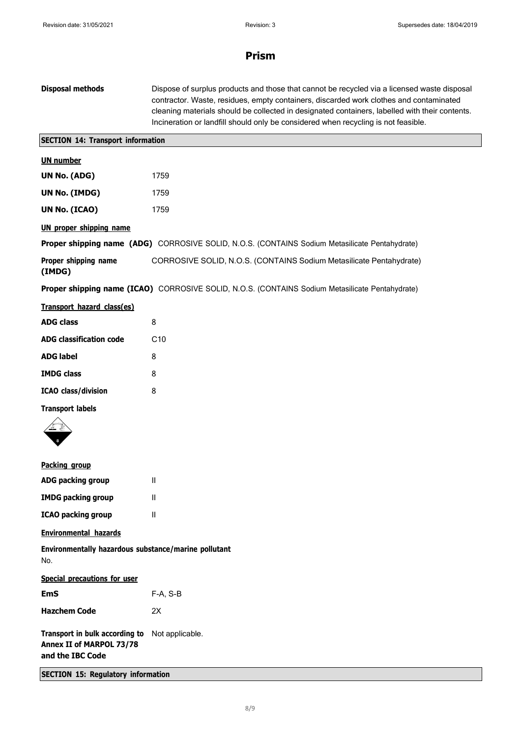| <b>Disposal methods</b>                                                        | Dispose of surplus products and those that cannot be recycled via a licensed waste disposal<br>contractor. Waste, residues, empty containers, discarded work clothes and contaminated<br>cleaning materials should be collected in designated containers, labelled with their contents.<br>Incineration or landfill should only be considered when recycling is not feasible. |
|--------------------------------------------------------------------------------|-------------------------------------------------------------------------------------------------------------------------------------------------------------------------------------------------------------------------------------------------------------------------------------------------------------------------------------------------------------------------------|
| <b>SECTION 14: Transport information</b>                                       |                                                                                                                                                                                                                                                                                                                                                                               |
| <b>UN number</b>                                                               |                                                                                                                                                                                                                                                                                                                                                                               |
| UN No. (ADG)                                                                   | 1759                                                                                                                                                                                                                                                                                                                                                                          |
| UN No. (IMDG)                                                                  | 1759                                                                                                                                                                                                                                                                                                                                                                          |
| UN No. (ICAO)                                                                  | 1759                                                                                                                                                                                                                                                                                                                                                                          |
| <b>UN proper shipping name</b>                                                 |                                                                                                                                                                                                                                                                                                                                                                               |
|                                                                                | Proper shipping name (ADG) CORROSIVE SOLID, N.O.S. (CONTAINS Sodium Metasilicate Pentahydrate)                                                                                                                                                                                                                                                                                |
| Proper shipping name<br>(IMDG)                                                 | CORROSIVE SOLID, N.O.S. (CONTAINS Sodium Metasilicate Pentahydrate)                                                                                                                                                                                                                                                                                                           |
|                                                                                | Proper shipping name (ICAO) CORROSIVE SOLID, N.O.S. (CONTAINS Sodium Metasilicate Pentahydrate)                                                                                                                                                                                                                                                                               |
| Transport hazard class(es)                                                     |                                                                                                                                                                                                                                                                                                                                                                               |
| <b>ADG class</b>                                                               | 8                                                                                                                                                                                                                                                                                                                                                                             |
| <b>ADG classification code</b>                                                 | C10                                                                                                                                                                                                                                                                                                                                                                           |
| <b>ADG label</b>                                                               | 8                                                                                                                                                                                                                                                                                                                                                                             |
| <b>IMDG class</b>                                                              | 8                                                                                                                                                                                                                                                                                                                                                                             |
| <b>ICAO</b> class/division                                                     | 8                                                                                                                                                                                                                                                                                                                                                                             |
| <b>Transport labels</b>                                                        |                                                                                                                                                                                                                                                                                                                                                                               |
|                                                                                |                                                                                                                                                                                                                                                                                                                                                                               |
| Packing group                                                                  |                                                                                                                                                                                                                                                                                                                                                                               |
| ADG packing group                                                              | Ш                                                                                                                                                                                                                                                                                                                                                                             |
| <b>IMDG packing group</b>                                                      | $\mathbf{H}$                                                                                                                                                                                                                                                                                                                                                                  |
| <b>ICAO packing group</b>                                                      | $\mathbf{H}$                                                                                                                                                                                                                                                                                                                                                                  |
| <b>Environmental hazards</b>                                                   |                                                                                                                                                                                                                                                                                                                                                                               |
| Environmentally hazardous substance/marine pollutant<br>No.                    |                                                                                                                                                                                                                                                                                                                                                                               |
| <b>Special precautions for user</b>                                            |                                                                                                                                                                                                                                                                                                                                                                               |
| <b>EmS</b>                                                                     | F-A, S-B                                                                                                                                                                                                                                                                                                                                                                      |
| <b>Hazchem Code</b>                                                            | 2X                                                                                                                                                                                                                                                                                                                                                                            |
| Transport in bulk according to<br>Annex II of MARPOL 73/78<br>and the IBC Code | Not applicable.                                                                                                                                                                                                                                                                                                                                                               |
| <b>SECTION 15: Regulatory information</b>                                      |                                                                                                                                                                                                                                                                                                                                                                               |
|                                                                                |                                                                                                                                                                                                                                                                                                                                                                               |